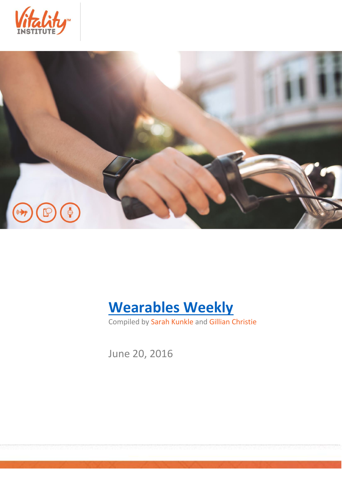





Compiled by Sarah Kunkle and Gillian Christie

June 20, 2016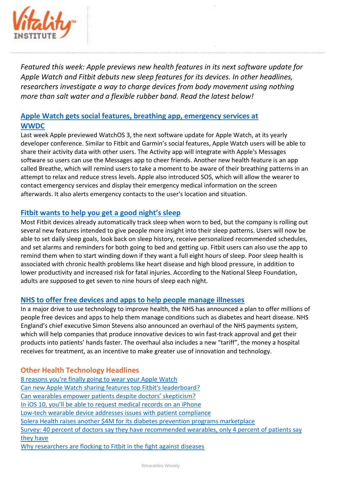

*Featured this week: Apple previews new health features in its next software update for Apple Watch and Fitbit debuts new sleep features for its devices. In other headlines, researchers investigate a way to charge devices from body movement using nothing more than salt water and a flexible rubber band. Read the latest below!*

# **[Apple Watch gets social features, breathing app, emergency services at](http://mobihealthnews.com/content/apple-watch-gets-social-features-breathing-app-emergency-services-wwdc)  [WWDC](http://mobihealthnews.com/content/apple-watch-gets-social-features-breathing-app-emergency-services-wwdc)**

Last week Apple previewed WatchOS 3, the next software update for Apple Watch, at its yearly developer conference. Similar to Fitbit and Garmin's social features, Apple Watch users will be able to share their activity data with other users. The Activity app will integrate with Apple's Messages software so users can use the Messages app to cheer friends. Another new health feature is an app called Breathe, which will remind users to take a moment to be aware of their breathing patterns in an attempt to relax and reduce stress levels. Apple also introduced SOS, which will allow the wearer to contact emergency services and display their emergency medical information on the screen afterwards. It also alerts emergency contacts to the user's location and situation.

## **[Fitbit wants to help you get a good night's sleep](https://www.buzzfeed.com/stephaniemlee/fitbit-wants-to-help-you-get-a-good-nights-sleep?utm_term=.egb8XjLwAw#.hnyBqyXRDR)**

Most Fitbit devices already automatically track sleep when worn to bed, but the company is rolling out several new features intended to give people more insight into their sleep patterns. Users will now be able to set daily sleep goals, look back on sleep history, receive personalized recommended schedules, and set alarms and reminders for both going to bed and getting up. Fitbit users can also use the app to remind them when to start winding down if they want a full eight hours of sleep. Poor sleep health is associated with chronic health problems like heart disease and high blood pressure, in addition to lower productivity and increased risk for fatal injuries. According to the National Sleep Foundation, adults are supposed to get seven to nine hours of sleep each night.

### **[NHS to offer free devices and apps to help people manage illnesses](https://www.theguardian.com/society/2016/jun/17/nhs-to-offer-free-devices-and-apps-to-help-people-manage-illnesses?CMP=twt_gu)**

In a major drive to use technology to improve health, the NHS has announced a plan to offer millions of people free devices and apps to help them manage conditions such as diabetes and heart disease. NHS England's chief executive Simon Stevens also announced an overhaul of the NHS payments system, which will help companies that produce innovative devices to win fast-track approval and get their products into patients' hands faster. The overhaul also includes a new "tariff", the money a hospital receives for treatment, as an incentive to make greater use of innovation and technology.

### **Other Health Technology Headlines**

[8 reasons you're finally going to wear your Apple Watch](http://www.cnet.com/how-to/how-the-apple-watch-just-got-better/)  [Can new Apple Watch sharing features top Fitbit's leaderboard?](http://www.cio.com/article/3083336/smartwatches/apple-watch-fitness-health-sharing-fitbit-leaderboard.html) [Can wearables empower patients despite do](http://readwrite.com/2016/06/18/can-health-wearables-empower-patients-despite-doctors-skepticism/)ctors' skepticism? [In iOS 10, you'll be able to request medical records on an iPhone](http://thenextweb.com/apple/2016/06/15/healthkit-medical-records/#gref) [Low-tech wearable device addresses issues with patient compliance](http://www.healio.com/optometry/technology/news/print/primary-care-optometry-news/%7B016f6259-3507-4e75-8ee6-7af8a3be3b1b%7D/low-tech-wearable-device-addresses-issues-with-patient-compliance) [Solera Health raises another \\$4M for its diabetes prevention programs marketplace](http://mobihealthnews.com/content/solera-health-raises-another-4m-its-diabetes-prevention-programs-marketplace) [Survey: 40 percent of doctors say they have recommended wearables, only 4 percent of patients say](http://mobihealthnews.com/content/survey-40-percent-doctors-say-they-have-recommended-wearables-only-4-percent-patients-say)  [they have](http://mobihealthnews.com/content/survey-40-percent-doctors-say-they-have-recommended-wearables-only-4-percent-patients-say) [Why researchers are flocking to Fitbit in the fight against diseases](https://www.wareable.com/fitbit/fitbit-clinical-studies-researchers-887)